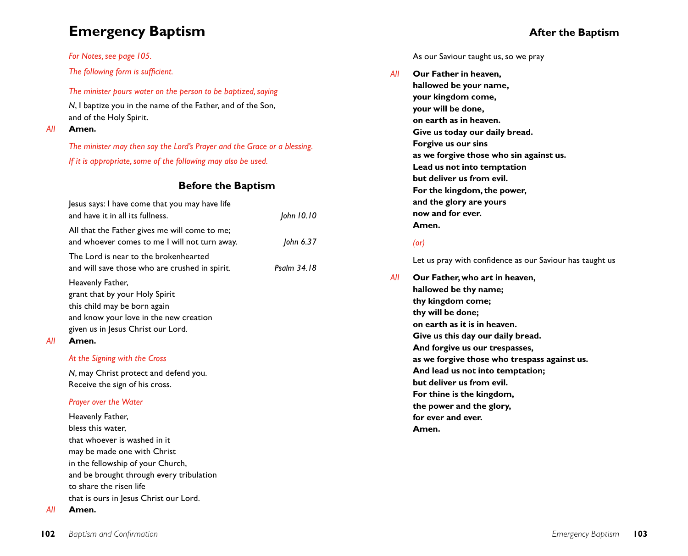# **Emergency Baptism**

## *For Notes, see page 105.*

*The following form is sufficient.*

*The minister pours water on the person to be baptized, saying*

*N*, I baptize you in the name of the Father, and of the Son, and of the Holy Spirit.

## *All* **Amen.**

*The minister may then say the Lord's Prayer and the Grace or a blessing. If it is appropriate, some of the following may also be used.*

# **Before the Baptism**

| Jesus says: I have come that you may have life<br>and have it in all its fullness.             | John 10.10  |
|------------------------------------------------------------------------------------------------|-------------|
| All that the Father gives me will come to me;<br>and whoever comes to me I will not turn away. | John 6.37   |
| The Lord is near to the brokenhearted<br>and will save those who are crushed in spirit.        | Psalm 34.18 |
| Heavenly Father,<br>grant that by your Holy Spirit<br>this child may be born again             |             |
| and know your love in the new creation<br>given us in Jesus Christ our Lord.                   |             |
| Amen.                                                                                          |             |

# *At the Signing with the Cross*

*N*, may Christ protect and defend you. Receive the sign of his cross.

## *Prayer over the Water*

Heavenly Father, bless this water, that whoever is washed in it may be made one with Christ in the fellowship of your Church, and be brought through every tribulation to share the risen life that is ours in Jesus Christ our Lord.

## *All* **Amen.**

*All* **Amen.**

As our Saviour taught us, so we pray

*All* **Our Father in heaven, hallowed be your name, your kingdom come, your will be done, on earth as in heaven. Give us today our daily bread. Forgive us our sins as we forgive those who sin against us. Lead us not into temptation but deliver us from evil. For the kingdom, the power, and the glory are yours now and for ever. Amen.**

# *(or)*

Let us pray with confidence as our Saviour has taught us

*All* **Our Father, who art in heaven, hallowed be thy name; thy kingdom come; thy will be done; on earth as it is in heaven. Give us this day our daily bread. And forgive us our trespasses, as we forgive those who trespass against us. And lead us not into temptation; but deliver us from evil. For thine is the kingdom, the power and the glory, for ever and ever. Amen.**

# **After the Baptism**